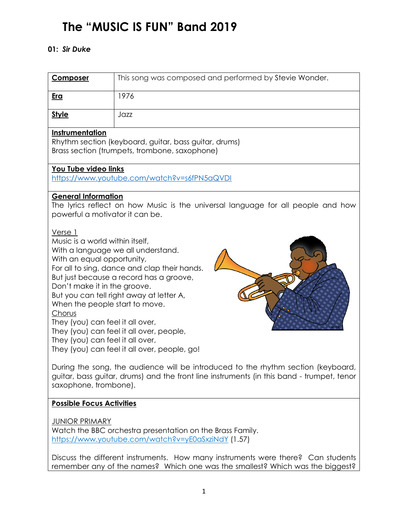## **The "MUSIC IS FUN" Band 2019**

## **01:** *Sir Duke*

| <u>Composer</u>                                                                                                                                                                                                              | This song was composed and performed by Stevie Wonder.                                                                                                                                                                                                                |  |  |  |  |
|------------------------------------------------------------------------------------------------------------------------------------------------------------------------------------------------------------------------------|-----------------------------------------------------------------------------------------------------------------------------------------------------------------------------------------------------------------------------------------------------------------------|--|--|--|--|
| <u>Era</u>                                                                                                                                                                                                                   | 1976                                                                                                                                                                                                                                                                  |  |  |  |  |
| <b>Style</b>                                                                                                                                                                                                                 | Jazz                                                                                                                                                                                                                                                                  |  |  |  |  |
| <b>Instrumentation</b>                                                                                                                                                                                                       | Rhythm section (keyboard, guitar, bass guitar, drums)<br>Brass section (trumpets, trombone, saxophone)                                                                                                                                                                |  |  |  |  |
| <u>You Tube video links</u>                                                                                                                                                                                                  | https://www.youtube.com/watch?v=s6fPN5aQVDI                                                                                                                                                                                                                           |  |  |  |  |
| <b>General Information</b><br>The lyrics reflect on how Music is the universal language for all people and how<br>powerful a motivator it can be.                                                                            |                                                                                                                                                                                                                                                                       |  |  |  |  |
| Verse 1<br>Music is a world within itself,<br>With an equal opportunity,<br>Don't make it in the groove.<br>When the people start to move.<br>Chorus<br>They (you) can feel it all over,<br>They (you) can feel it all over, | With a language we all understand.<br>For all to sing, dance and clap their hands.<br>But just because a record has a groove,<br>But you can tell right away at letter A,<br>They (you) can feel it all over, people,<br>They (you) can feel it all over, people, go! |  |  |  |  |
| saxophone, trombone).                                                                                                                                                                                                        | During the song, the audience will be introduced to the rhythm section (keyboard,<br>guitar, bass guitar, drums) and the front line instruments (in this band - trumpet, tenor                                                                                        |  |  |  |  |
| <b>Possible Focus Activities</b><br><b>JUNIOR PRIMARY</b>                                                                                                                                                                    | Watch the BBC erabetra presentation on the Brass Equally                                                                                                                                                                                                              |  |  |  |  |

Watch the BBC orchestra presentation on the Brass Family. <https://www.youtube.com/watch?v=yE0aSxziNdY> (1.57)

Discuss the different instruments. How many instruments were there? Can students remember any of the names? Which one was the smallest? Which was the biggest?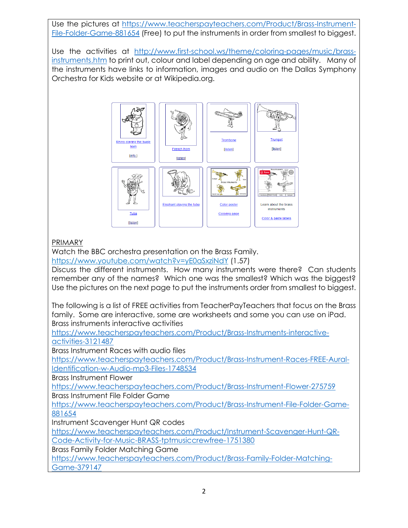Use the pictures at [https://www.teacherspayteachers.com/Product/Brass-Instrument-](https://www.teacherspayteachers.com/Product/Brass-Instrument-File-Folder-Game-881654)[File-Folder-Game-881654](https://www.teacherspayteachers.com/Product/Brass-Instrument-File-Folder-Game-881654) (Free) to put the instruments in order from smallest to biggest.

Use the activities at [http://www.first-school.ws/theme/coloring-pages/music/brass](http://www.first-school.ws/theme/coloring-pages/music/brass-instruments.htm)[instruments.htm](http://www.first-school.ws/theme/coloring-pages/music/brass-instruments.htm) to print out, colour and label depending on age and ability. Many of the instruments have links to information, images and audio on the [Dallas Symphony](https://www.mydso.com/dso-kids/learn-and-listen/instruments)  [Orchestra for Kids](https://www.mydso.com/dso-kids/learn-and-listen/instruments) website or at Wikipedia.org.



## PRIMARY

Watch the BBC orchestra presentation on the Brass Family.

<https://www.youtube.com/watch?v=yE0aSxziNdY> (1.57)

Discuss the different instruments. How many instruments were there? Can students remember any of the names? Which one was the smallest? Which was the biggest? Use the pictures on the next page to put the instruments order from smallest to biggest.

The following is a list of FREE activities from TeacherPayTeachers that focus on the Brass family. Some are interactive, some are worksheets and some you can use on iPad. Brass instruments interactive activities

[https://www.teacherspayteachers.com/Product/Brass-Instruments-interactive](https://www.teacherspayteachers.com/Product/Brass-Instruments-interactive-activities-3121487)[activities-3121487](https://www.teacherspayteachers.com/Product/Brass-Instruments-interactive-activities-3121487)

Brass Instrument Races with audio files

[https://www.teacherspayteachers.com/Product/Brass-Instrument-Races-FREE-Aural-](https://www.teacherspayteachers.com/Product/Brass-Instrument-Races-FREE-Aural-Identification-w-Audio-mp3-Files-1748534)[Identification-w-Audio-mp3-Files-1748534](https://www.teacherspayteachers.com/Product/Brass-Instrument-Races-FREE-Aural-Identification-w-Audio-mp3-Files-1748534)

Brass Instrument Flower

<https://www.teacherspayteachers.com/Product/Brass-Instrument-Flower-275759> Brass Instrument File Folder Game

[https://www.teacherspayteachers.com/Product/Brass-Instrument-File-Folder-Game-](https://www.teacherspayteachers.com/Product/Brass-Instrument-File-Folder-Game-881654)[881654](https://www.teacherspayteachers.com/Product/Brass-Instrument-File-Folder-Game-881654)

Instrument Scavenger Hunt QR codes

[https://www.teacherspayteachers.com/Product/Instrument-Scavenger-Hunt-QR-](https://www.teacherspayteachers.com/Product/Instrument-Scavenger-Hunt-QR-Code-Activity-for-Music-BRASS-tptmusiccrewfree-1751380)[Code-Activity-for-Music-BRASS-tptmusiccrewfree-1751380](https://www.teacherspayteachers.com/Product/Instrument-Scavenger-Hunt-QR-Code-Activity-for-Music-BRASS-tptmusiccrewfree-1751380)

Brass Family Folder Matching Game

[https://www.teacherspayteachers.com/Product/Brass-Family-Folder-Matching-](https://www.teacherspayteachers.com/Product/Brass-Family-Folder-Matching-Game-379147)[Game-379147](https://www.teacherspayteachers.com/Product/Brass-Family-Folder-Matching-Game-379147)